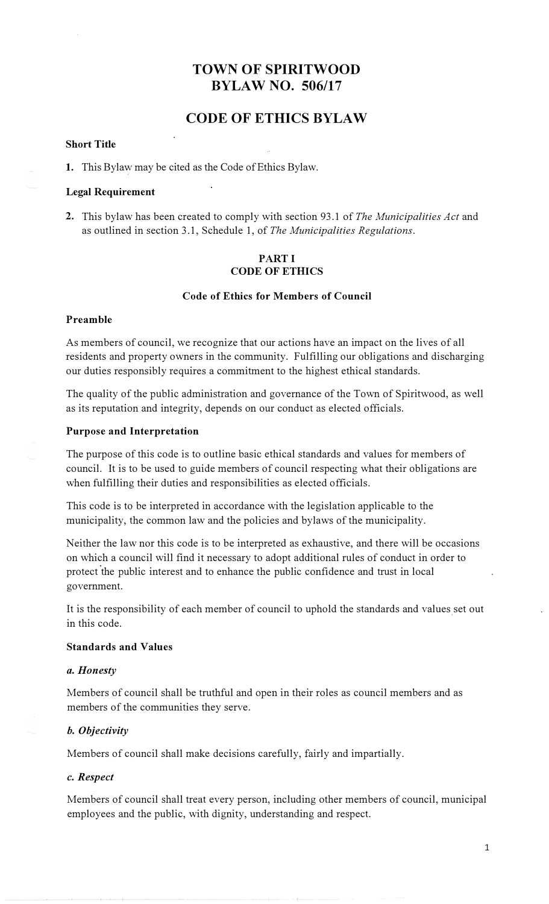# **TOWN OF SPIRITWOOD BYLAW NO. 506/17**

# **CODE OF ETHICS BYLAW**

#### **Short Title**

1. This Bylaw may be cited as the Code of Ethics Bylaw.

#### **Legal Requirement**

**2.** This bylaw has been created to comply with section 93 .1 of *The Municipalities Act* and as outlined in section 3.1, Schedule 1, of *The Municipalities Regulations.*

## **PART I CODE OF ETHICS**

## **Code of Ethics for Members of Council**

#### **Preamble**

As members of council, we recognize that our actions have an impact on the lives of all residents and property owners in the community. Fulfilling our obligations and discharging our duties responsibly requires a commitment to the highest ethical standards.

The quality of the public administration and governance of the Town of Spiritwood, as well as its reputation and integrity, depends on our conduct as elected officials.

#### **Purpose and Interpretation**

The purpose of this code is to outline basic ethical standards and values for members of council. It is to be used to guide members of council respecting what their obligations are when fulfilling their duties and responsibilities as elected officials.

This code is to be interpreted in accordance with the legislation applicable to the municipality, the common law and the policies and bylaws of the municipality.

Neither the law nor this code is to be interpreted as exhaustive, and there will be occasions on which a council will find it necessary to adopt additional rules of conduct in order to protect the public interest and to enhance the public confidence and trust in local government.

It is the responsibility of each member of council to uphold the standards and values set out in this code.

#### **Standards and Values**

#### *a. Honesty*

Members of council shall be truthful and open in their roles as council members and as members of the communities they serve.

#### *b. Objectivity*

Members of council shall make decisions carefully, fairly and impartially.

#### *c. Respect*

Members of council shall treat every person, including other members of council, municipal employees and the public, with dignity, understanding and respect.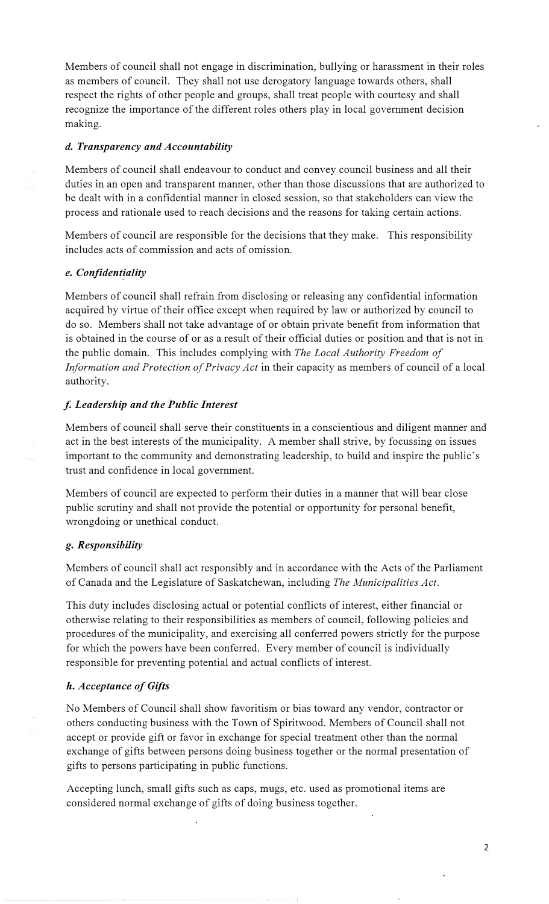Members of council shall not engage in discrimination, bullying or harassment in their roles as members of council. They shall not use derogatory language towards others, shall respect the rights of other people and groups, shall treat people with courtesy and shall recognize the importance of the different roles others play in local government decision making.

## *d. Transparency and Accountability*

Members of council shall endeavour to conduct and convey council business and all their duties in an open and transparent manner, other than those discussions that are authorized to be dealt with in a confidential manner in closed session, so that stakeholders can view the process and rationale used to reach decisions and the reasons for taking certain actions.

Members of council are responsible for the decisions that they make. This responsibility includes acts of commission and acts of omission.

#### *e. Confidentiality*

Members of council shall refrain from disclosing or releasing any confidential information acquired by virtue of their office except when required by law or authorized by council to do so. Members shall not take advantage of or obtain private benefit from information that is obtained in the course of or as a result of their official duties or position and that is not in the public domain. This includes complying with *The Local Authority Freedom of Information and Protection of Privacy Act* in their capacity as members of council of a local authority.

#### *f. Leadership and the Public Interest*

Members of council shall serve their constituents in a conscientious and diligent manner and act in the best interests of the municipality. A member shall strive, by focussing on issues important to the community and demonstrating leadership, to build and inspire the public's trust and confidence in local government.

Members of council are expected to perform their duties in a manner that will bear close public scrutiny and shall not provide the potential or opportunity for personal benefit, wrongdoing or unethical conduct.

#### *g. Responsibility*

Members of council shall act responsibly and in accordance with the Acts of the Parliament of Canada and the Legislature of Saskatchewan, including *The Municipalities Act.* 

This duty includes disclosing actual or potential conflicts of interest, either financial or otherwise relating to their responsibilities as members of council, following policies and procedures of the municipality, and exercising all conferred powers strictly for the purpose for which the powers have been conferred. Every member of council is individually responsible for preventing potential and actual conflicts of interest.

#### *h. Acceptance of Gifts*

No Members of Council shall show favoritism or bias toward any vendor, contractor or others conducting business with the Town of Spiritwood. Members of Council shall not accept or provide gift or favor in exchange for special treatment other than the normal exchange of gifts between persons doing business together or the normal presentation of gifts to persons participating in public functions.

Accepting lunch, small gifts such as caps, mugs, etc. used as promotional items are considered normal exchange of gifts of doing business together.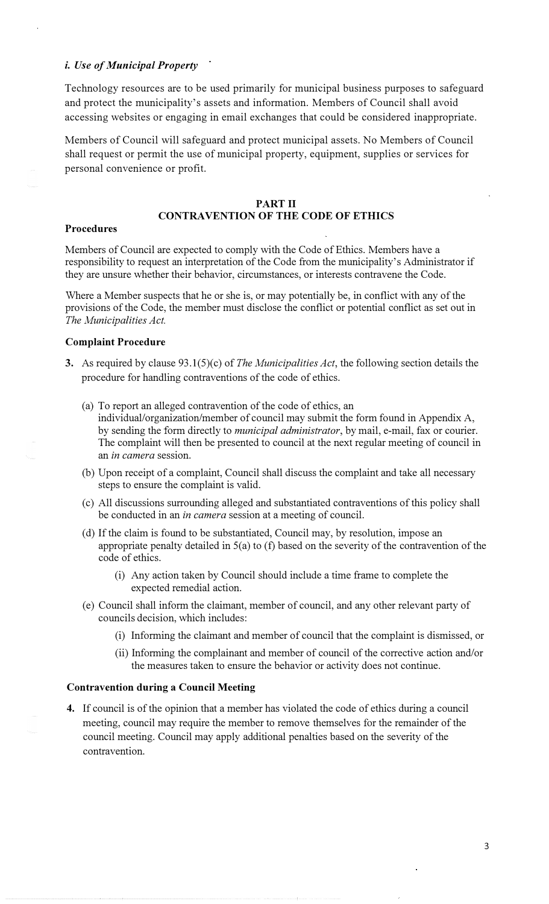#### *i. Use of Municipal Property*

Technology resources are to be used primarily for municipal business purposes to safeguard and protect the municipality's assets and information. Members of Council shall avoid accessing websites or engaging in email exchanges that could be considered inappropriate.

Members of Council will safeguard and protect municipal assets. No Members of Council shall request or permit the use of municipal property, equipment, supplies or services for personal convenience or profit.

#### **PART II**

# **CONTRAVENTION OF THE CODE OF ETHICS**

#### **Procedures**

Members of Council are expected to comply with the Code of Ethics. Members have a responsibility to request an interpretation of the Code from the municipality's Administrator if they are unsure whether their behavior, circumstances, or interests contravene the Code.

Where a Member suspects that he or she is, or may potentially be, in conflict with any of the provisions of the Code, the member must disclose the conflict or potential conflict as set out in *The Municipalities Act.* 

#### **Complaint Procedure**

- **3.** As required by clause 93.l(S)(c) of *The Municipalities Act,* the following section details the procedure for handling contraventions of the code of ethics.
	- (a) To report an alleged contravention of the code of ethics, an individual/organization/member of council may submit the form found in Appendix A, by sending the form directly to *municipal administrator,* by mail, e-mail, fax or courier. The complaint will then be presented to council at the next regular meeting of council in an *in camera* session.
	- (b) Upon receipt of a complaint, Council shall discuss the complaint and take all necessary steps to ensure the complaint is valid.
	- ( c) All discussions surrounding alleged and substantiated contraventions of this policy shall be conducted in an *in camera* session at a meeting of council.
	- (d) If the claim is found to be substantiated, Council may, by resolution, impose an appropriate penalty detailed in 5(a) to (f) based on the severity of the contravention of the code of ethics.
		- (i) Any action taken by Council should include a time frame to complete the expected remedial action.
	- ( e) Council shall inform the claimant, member of council, and any other relevant party of councils decision, which includes:
		- (i) Informing the claimant and member of council that the complaint is dismissed, or
		- (ii) Informing the complainant and member of council of the corrective action and/or the measures taken to ensure the behavior or activity does not continue.

#### **Contravention during a Council Meeting**

**4.** If council is of the opinion that a member has violated the code of ethics during a council meeting, council may require the member to remove themselves for the remainder of the council meeting. Council may apply additional penalties based on the severity of the contravention.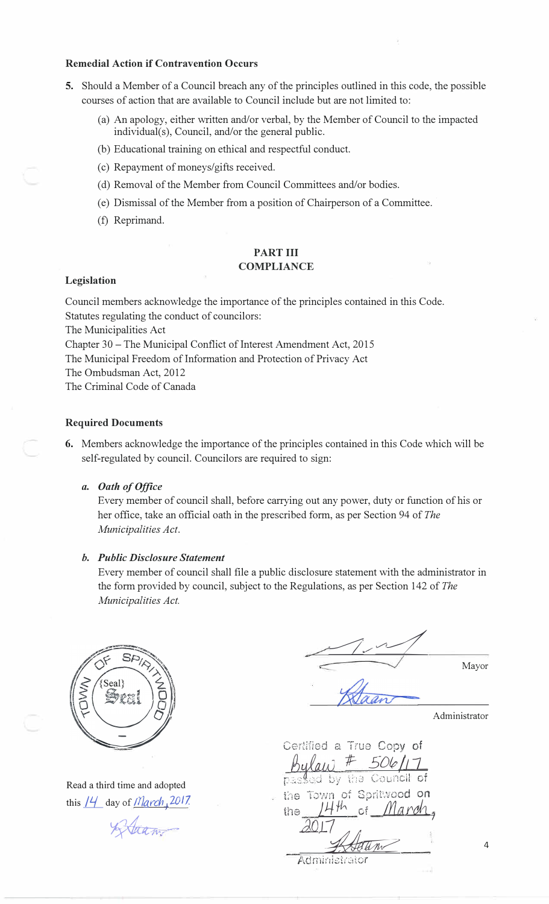#### **Remedial Action if Contravention Occurs**

- **5.** Should a Member of a Council breach any of the principles outlined in this code, the possible courses of action that are available to Council include but are not limited to:
	- (a) An apology, either written and/or verbal, by the Member of Council to the impacted individual(s), Council, and/or the general public.
	- (b) Educational training on ethical and respectful conduct.
	- (c) Repayment of moneys/gifts received.
	- (d) Removal of the Member from Council Committees and/or bodies.
	- ( e) Dismissal of the Member from a position of Chairperson of a Committee. ·
	- (f) Reprimand.

## **PART III COMPLIANCE**

#### **Legislation**

Council members acknowledge the importance of the principles contained in this Code. Statutes regulating the conduct of councilors:

The Municipalities Act

Chapter 30 - The Municipal Conflict of Interest Amendment Act, 2015

The Municipal Freedom of Information and Protection of Privacy Act

The Ombudsman Act, 2012

The Criminal Code of Canada

#### **Required Documents**

6. Members acknowledge the importance of the principles contained in this Code which will be self-regulated by council. Councilors are required to sign:

#### *a. Oath of Office*

Every member of council shall, before carrying out any power, duty or function of his or her office, take an official oath in the prescribed form, as per Section 94 of *The Municipalities Act.*

#### *b. Public Disclosure Statement*

Every member of council shall file a public disclosure statement with the administrator in the form provided by council, subject to the Regulations, as per Section 142 of *The Municipalities Act.*



Read a third time and adopted this  $14$  day of *March*  $\sqrt{2017}$ .

 $\sqrt{4\pi m}$ 

 $\sqrt{1-\frac{1}{2}}$ Mayor

Administrator

*Certified a True Copy of* bulaw *#- 5D&J\_o\_* 

 $p$ as $\ell$ ad by the Town of Spritwood on the 14th of *March*,  $2017$ 

4

Administrator